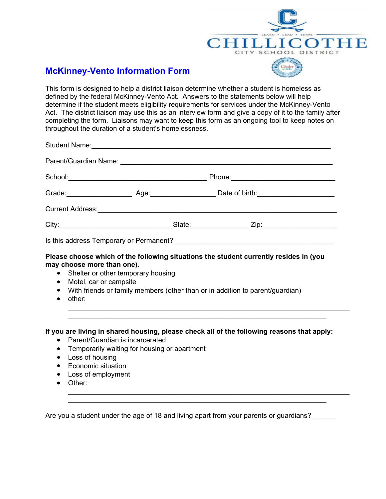

## **McKinney-Vento Information Form**

This form is designed to help a district liaison determine whether a student is homeless as defined by the federal McKinney-Vento Act. Answers to the statements below will help determine if the student meets eligibility requirements for services under the McKinney-Vento Act. The district liaison may use this as an interview form and give a copy of it to the family after completing the form. Liaisons may want to keep this form as an ongoing tool to keep notes on throughout the duration of a student's homelessness.

|                                                                                                                    | Student Name: <u>Communication and Communications</u> and Communications and Communications and Communications and Communications and Communications and Communications and Communications and Communications and Communications an |                                                                                                                |  |  |
|--------------------------------------------------------------------------------------------------------------------|-------------------------------------------------------------------------------------------------------------------------------------------------------------------------------------------------------------------------------------|----------------------------------------------------------------------------------------------------------------|--|--|
|                                                                                                                    |                                                                                                                                                                                                                                     |                                                                                                                |  |  |
|                                                                                                                    |                                                                                                                                                                                                                                     |                                                                                                                |  |  |
|                                                                                                                    |                                                                                                                                                                                                                                     | Grade: ____________________________Age: _________________________Date of birth: ______________________________ |  |  |
|                                                                                                                    |                                                                                                                                                                                                                                     |                                                                                                                |  |  |
|                                                                                                                    |                                                                                                                                                                                                                                     |                                                                                                                |  |  |
|                                                                                                                    |                                                                                                                                                                                                                                     |                                                                                                                |  |  |
| may choose more than one).<br>$\bullet$<br>Motel, car or campsite<br>$\bullet$<br>$\bullet$<br>other:<br>$\bullet$ | Please choose which of the following situations the student currently resides in (you<br>Shelter or other temporary housing<br>With friends or family members (other than or in addition to parent/guardian)                        |                                                                                                                |  |  |
|                                                                                                                    |                                                                                                                                                                                                                                     |                                                                                                                |  |  |

## **If you are living in shared housing, please check all of the following reasons that apply:**

- Parent/Guardian is incarcerated
- Temporarily waiting for housing or apartment
- Loss of housing
- Economic situation
- Loss of employment
- Other: \_\_\_\_\_\_\_\_\_\_\_\_\_\_\_\_\_\_\_\_\_\_\_\_\_\_\_\_\_\_\_\_\_\_\_\_\_\_\_\_\_\_\_\_\_\_\_\_\_\_\_\_\_\_\_\_\_\_\_\_\_\_\_\_\_\_\_\_\_\_\_\_\_

Are you a student under the age of 18 and living apart from your parents or guardians?

 $\overline{\phantom{a}}$  , and the contribution of the contribution of the contribution of the contribution of the contribution of the contribution of the contribution of the contribution of the contribution of the contribution of the